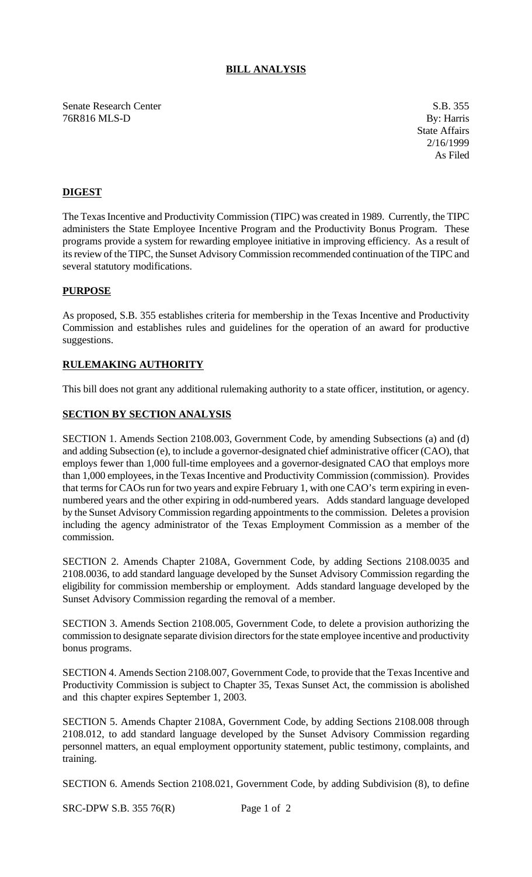# **BILL ANALYSIS**

Senate Research Center S.B. 355 76R816 MLS-D By: Harris

State Affairs 2/16/1999 As Filed

# **DIGEST**

The Texas Incentive and Productivity Commission (TIPC) was created in 1989. Currently, the TIPC administers the State Employee Incentive Program and the Productivity Bonus Program. These programs provide a system for rewarding employee initiative in improving efficiency. As a result of its review of the TIPC, the Sunset Advisory Commission recommended continuation of the TIPC and several statutory modifications.

## **PURPOSE**

As proposed, S.B. 355 establishes criteria for membership in the Texas Incentive and Productivity Commission and establishes rules and guidelines for the operation of an award for productive suggestions.

## **RULEMAKING AUTHORITY**

This bill does not grant any additional rulemaking authority to a state officer, institution, or agency.

## **SECTION BY SECTION ANALYSIS**

SECTION 1. Amends Section 2108.003, Government Code, by amending Subsections (a) and (d) and adding Subsection (e), to include a governor-designated chief administrative officer (CAO), that employs fewer than 1,000 full-time employees and a governor-designated CAO that employs more than 1,000 employees, in the Texas Incentive and Productivity Commission (commission). Provides that terms for CAOs run for two years and expire February 1, with one CAO's term expiring in evennumbered years and the other expiring in odd-numbered years. Adds standard language developed by the Sunset Advisory Commission regarding appointments to the commission. Deletes a provision including the agency administrator of the Texas Employment Commission as a member of the commission.

SECTION 2. Amends Chapter 2108A, Government Code, by adding Sections 2108.0035 and 2108.0036, to add standard language developed by the Sunset Advisory Commission regarding the eligibility for commission membership or employment. Adds standard language developed by the Sunset Advisory Commission regarding the removal of a member.

SECTION 3. Amends Section 2108.005, Government Code, to delete a provision authorizing the commission to designate separate division directors for the state employee incentive and productivity bonus programs.

SECTION 4. Amends Section 2108.007, Government Code, to provide that the Texas Incentive and Productivity Commission is subject to Chapter 35, Texas Sunset Act, the commission is abolished and this chapter expires September 1, 2003.

SECTION 5. Amends Chapter 2108A, Government Code, by adding Sections 2108.008 through 2108.012, to add standard language developed by the Sunset Advisory Commission regarding personnel matters, an equal employment opportunity statement, public testimony, complaints, and training.

SECTION 6. Amends Section 2108.021, Government Code, by adding Subdivision (8), to define

SRC-DPW S.B. 355 76(R) Page 1 of 2